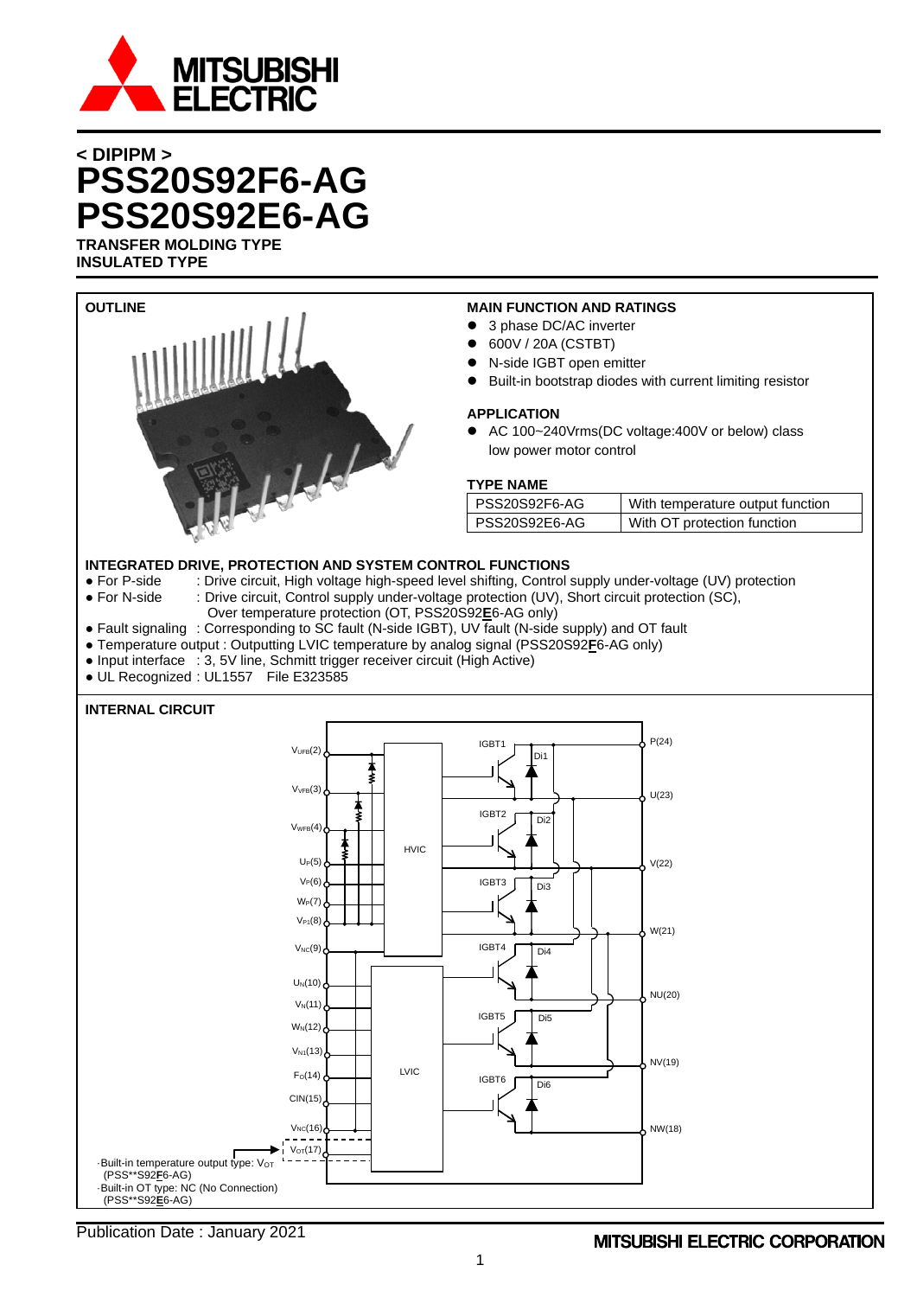

# **< DIPIPM > PSS20S92F6-AG PSS20S92E6-AG TRANSFER MOLDING TYPE**

**INSULATED TYPE**

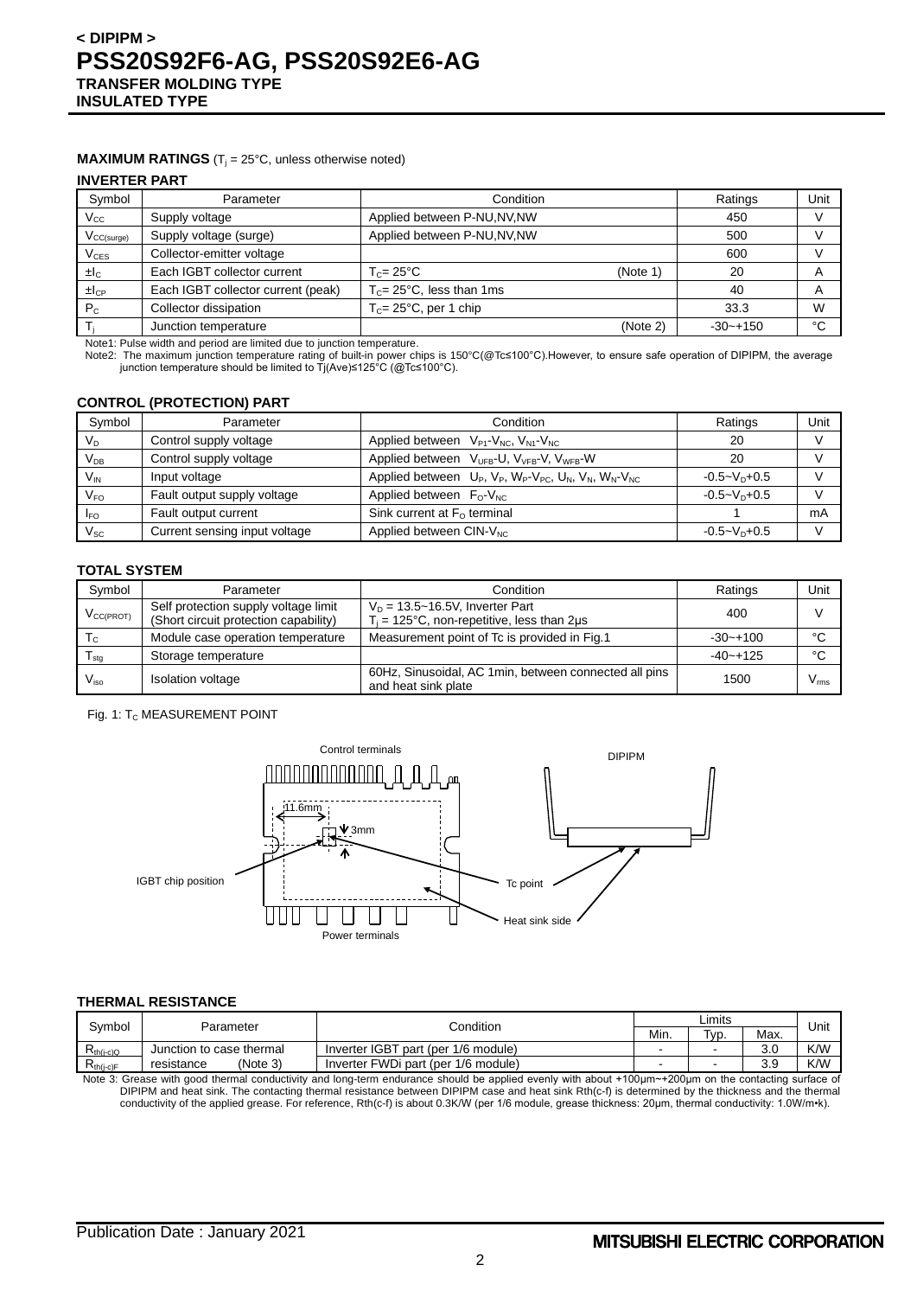#### **MAXIMUM RATINGS** ( $T_j = 25^\circ C$ , unless otherwise noted)

#### **INVERTER PART**

| Parameter                          | Condition                            |          | Ratings      | Unit |
|------------------------------------|--------------------------------------|----------|--------------|------|
| Supply voltage                     | Applied between P-NU, NV, NW         |          | 450          |      |
| Supply voltage (surge)             | Applied between P-NU, NV, NW         |          | 500          |      |
| Collector-emitter voltage          |                                      |          | 600          |      |
| Each IGBT collector current        | $T_c = 25^{\circ}$ C<br>(Note 1)     |          | 20           | A    |
| Each IGBT collector current (peak) | $T_c = 25^{\circ}$ C, less than 1 ms |          | 40           | A    |
| Collector dissipation              | $T_c = 25^{\circ}$ C, per 1 chip     |          | 33.3         | W    |
| Junction temperature               |                                      | (Note 2) | $-30 - +150$ | °C   |
|                                    |                                      |          |              |      |

Note1: Pulse width and period are limited due to junction temperature.

Note2: The maximum junction temperature rating of built-in power chips is 150°C(@Tc≤100°C).However, to ensure safe operation of DIPIPM, the average junction temperature should be limited to Tj(Ave)≤125°C (@Tc≤100°C).

#### **CONTROL (PROTECTION) PART**

| Symbol                     | Parameter                     | Condition                                                                           | Ratings            | Unit |
|----------------------------|-------------------------------|-------------------------------------------------------------------------------------|--------------------|------|
| $V_D$                      | Control supply voltage        | Applied between $V_{P1}$ - $V_{NC}$ , $V_{N1}$ - $V_{NC}$                           | 20                 |      |
| V <sub>db</sub>            | Control supply voltage        | Applied between V <sub>UFB</sub> -U, V <sub>VFB</sub> -V, V <sub>WFB</sub> -W       | 20                 |      |
| $V_{IN}$                   | Input voltage                 | Applied between $U_P$ , $V_P$ , $W_P$ - $V_{PC}$ , $U_N$ , $V_N$ , $W_N$ - $V_{NC}$ | $-0.5 - V_D + 0.5$ |      |
| V <sub>FO</sub>            | Fault output supply voltage   | Applied between $F_0-V_{NC}$                                                        | $-0.5 - VD + 0.5$  |      |
| <b>IFO</b>                 | Fault output current          | Sink current at $F0$ terminal                                                       |                    | mA   |
| $\mathsf{V}_{\mathsf{SC}}$ | Current sensing input voltage | Applied between CIN-V <sub>NC</sub>                                                 | $-0.5 - V_D + 0.5$ |      |

#### **TOTAL SYSTEM**

| Symbol                | Condition<br>Parameter                                                        |                                                                                          | Ratings      | Unit          |
|-----------------------|-------------------------------------------------------------------------------|------------------------------------------------------------------------------------------|--------------|---------------|
| $V_{\text{CC(PROT)}}$ | Self protection supply voltage limit<br>(Short circuit protection capability) | $V_D = 13.5 \sim 16.5 V$ , Inverter Part<br>$T_i$ = 125°C, non-repetitive, less than 2µs | 400          |               |
| Tc.                   | Module case operation temperature                                             | Measurement point of Tc is provided in Fig.1                                             | $-30 - +100$ | °C            |
| l <sub>stq</sub>      | Storage temperature                                                           |                                                                                          | $-40 - +125$ | °C            |
| $V_{\rm iso}$         | <b>Isolation voltage</b>                                                      | 60Hz, Sinusoidal, AC 1min, between connected all pins<br>and heat sink plate             | 1500         | $V_{\rm rms}$ |

#### Fig. 1: T<sub>C</sub> MEASUREMENT POINT



#### **THERMAL RESISTANCE**

| Svmbol                                                             |                          | Condition                           |      | Limits            |      |      |
|--------------------------------------------------------------------|--------------------------|-------------------------------------|------|-------------------|------|------|
|                                                                    | Parameter                |                                     | Min. | T <sub>VD</sub> . | Max. | Unit |
| $\mathsf{R}_{\mathsf{th}(j\text{-}c)\mathsf{Q}}$                   | Junction to case thermal | Inverter IGBT part (per 1/6 module) |      | -                 | 3.0  | K/W  |
| $\mathsf{R}_{\mathsf{th}(\mathsf{i}\text{-}\mathsf{c})\mathsf{F}}$ | (Note 3)<br>resistance   | Inverter FWDi part (per 1/6 module) |      | -                 | 3.9  | K/W  |

Note 3: Grease with good thermal conductivity and long-term endurance should be applied evenly with about +100μm~+200μm on the contacting surface of DIPIPM and heat sink. The contacting thermal resistance between DIPIPM case and heat sink Rth(c-f) is determined by the thickness and the thermal conductivity of the applied grease. For reference, Rth(c-f) is about 0.3K/W (per 1/6 module, grease thickness: 20µm, thermal conductivity: 1.0W/m•k).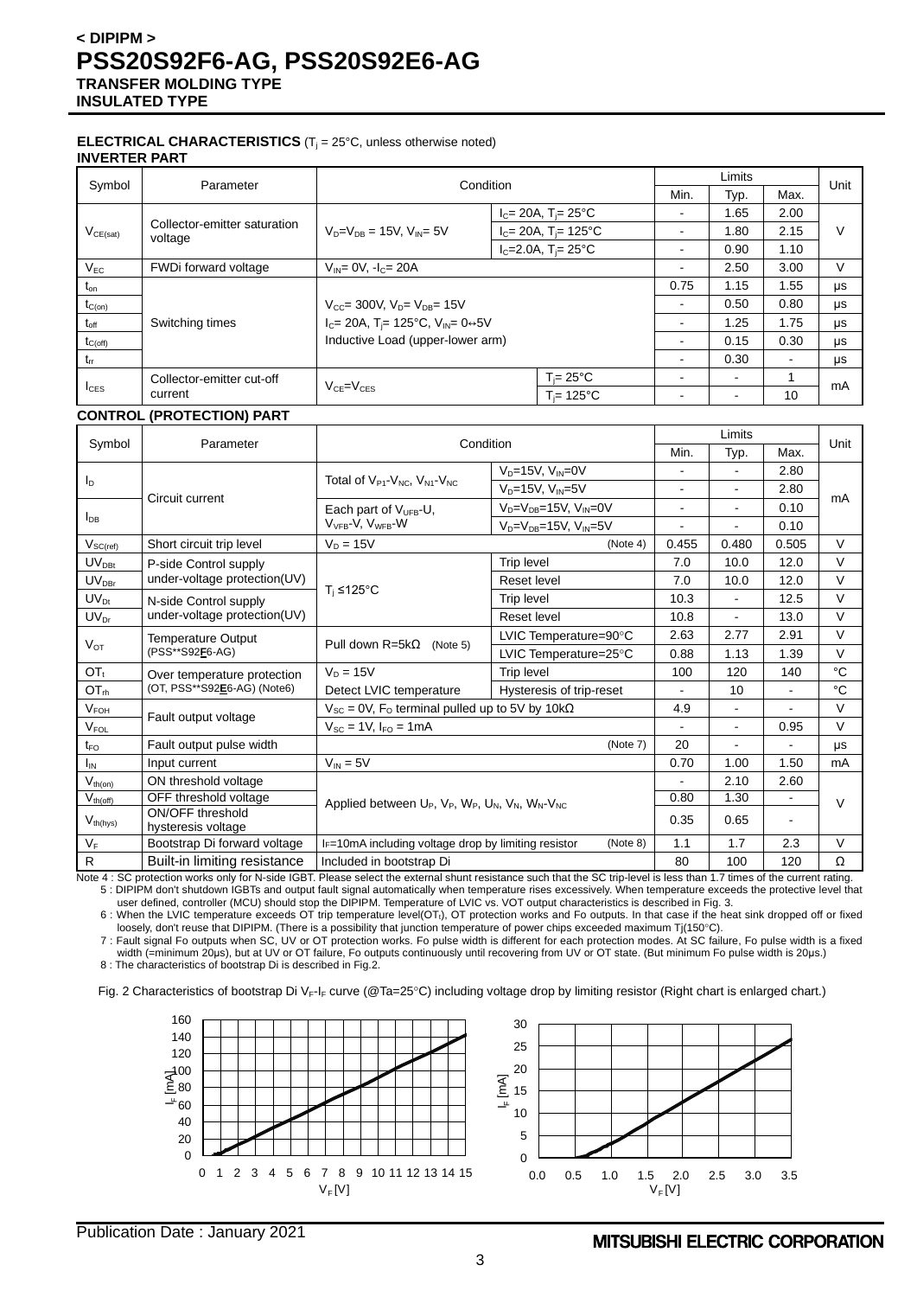#### **ELECTRICAL CHARACTERISTICS** (T<sub>j</sub> = 25°C, unless otherwise noted) **INVERTER PART**

| Symbol           | Parameter                                                                                         | Condition                                 |                                      |                | Limits                   |                | Unit |
|------------------|---------------------------------------------------------------------------------------------------|-------------------------------------------|--------------------------------------|----------------|--------------------------|----------------|------|
|                  |                                                                                                   |                                           |                                      | Min.           | Typ.                     | Max.           |      |
|                  |                                                                                                   | $V_{D} = V_{DE} = 15V$ , $V_{DE} = 5V$    | $I_c = 20A$ , T <sub>i</sub> = 25°C  | ۰              | 1.65                     | 2.00           |      |
| $V_{CE(sat)}$    | Collector-emitter saturation<br>voltage                                                           |                                           | $I_c = 20A$ , T <sub>i</sub> = 125°C | ۰              | 1.80                     | 2.15           | V    |
|                  |                                                                                                   |                                           | $I_C = 2.0A$ , $T_i = 25^{\circ}C$   | ۰              | 0.90                     | 1.10           |      |
| $V_{EC}$         | FWDi forward voltage                                                                              | $V_{IN} = 0V$ , $-I_C = 20A$              |                                      | ۰              | 2.50                     | 3.00           | V    |
| $t_{\text{on}}$  |                                                                                                   |                                           |                                      | 0.75           | 1.15                     | 1.55           | μs   |
| $t_{C(on)}$      |                                                                                                   | $V_{CC}$ = 300V, $V_{D}$ = $V_{DB}$ = 15V |                                      | $\blacksquare$ | 0.50                     | 0.80           | μs   |
| $t_{\text{off}}$ | $I_C = 20A$ , T <sub>i</sub> = 125°C, V <sub>IN</sub> = 0 $\leftrightarrow$ 5V<br>Switching times |                                           |                                      | ۰              | 1.25                     | 1.75           | μs   |
| $t_{C(off)}$     |                                                                                                   | Inductive Load (upper-lower arm)          |                                      | ۰              | 0.15                     | 0.30           | μs   |
| $t_{rr}$         |                                                                                                   |                                           |                                      | ۰              | 0.30                     | $\blacksquare$ | μs   |
|                  | Collector-emitter cut-off                                                                         | $VCF=VCES$                                | $T_i = 25^{\circ}C$                  | ۰              | $\overline{\phantom{0}}$ |                | mA   |
| $I_{CES}$        | current                                                                                           |                                           | $T = 125^{\circ}C$                   | ۰              | $\overline{\phantom{0}}$ | 10             |      |

#### **CONTROL (PROTECTION) PART**

|                        |                                        | Condition                                                                                                                            |                                      | Limits         |                |                              | Unit   |
|------------------------|----------------------------------------|--------------------------------------------------------------------------------------------------------------------------------------|--------------------------------------|----------------|----------------|------------------------------|--------|
| Symbol                 | Parameter                              |                                                                                                                                      |                                      | Min.           | Typ.           | Max.                         |        |
|                        |                                        |                                                                                                                                      | $V_D = 15V$ , $V_{IN} = 0V$          |                |                | 2.80                         |        |
| $I_D$                  |                                        | Total of $V_{P1}$ - $V_{NC}$ , $V_{N1}$ - $V_{NC}$                                                                                   | $V_D = 15V$ , $V_{IN} = 5V$          | $\overline{a}$ | $\mathbf{r}$   | 2.80                         |        |
|                        | Circuit current                        | Each part of $V_{UFB}$ -U,                                                                                                           | $V_D = V_{DB} = 15V$ , $V_{IN} = 0V$ | $\blacksquare$ |                | 0.10                         | mA     |
| $I_{DB}$               |                                        | V <sub>VFB</sub> -V, V <sub>WFB</sub> -W                                                                                             | $V_D = V_{DB} = 15V$ , $V_{IN} = 5V$ |                |                | 0.10                         |        |
| $V_{SC(\textrm{ref})}$ | Short circuit trip level               | $V_D = 15V$                                                                                                                          | (Note 4)                             | 0.455          | 0.480          | 0.505                        | $\vee$ |
| $UV_{DBt}$             | P-side Control supply                  |                                                                                                                                      | Trip level                           | 7.0            | 10.0           | 12.0                         | $\vee$ |
| $UV_{DBr}$             | under-voltage protection(UV)           |                                                                                                                                      | Reset level                          | 7.0            | 10.0           | 12.0                         | $\vee$ |
| $UV_{Dt}$              | N-side Control supply                  | $T_i \leq 125$ °C                                                                                                                    | <b>Trip level</b>                    | 10.3           | $\sim$         | 12.5                         | $\vee$ |
| $UV_{Dr}$              | under-voltage protection(UV)           |                                                                                                                                      | Reset level                          | 10.8           | $\blacksquare$ | 13.0                         | $\vee$ |
|                        | Temperature Output                     | Pull down $R = 5k\Omega$<br>(Note 5)                                                                                                 | LVIC Temperature=90°C                | 2.63           | 2.77           | 2.91                         | $\vee$ |
| $V_{OT}$               | (PSS**S92F6-AG)                        |                                                                                                                                      | LVIC Temperature=25°C                | 0.88           | 1.13           | 1.39                         | $\vee$ |
| $OT_t$                 | Over temperature protection            | $V_D = 15V$                                                                                                                          | Trip level                           | 100            | 120            | 140                          | °C     |
| OT <sub>rh</sub>       | (OT, PSS**S92E6-AG) (Note6)            | Detect LVIC temperature                                                                                                              | Hysteresis of trip-reset             | $\overline{a}$ | 10             | L.                           | °C     |
| $V_{FOH}$              |                                        | $V_{SC}$ = 0V, F <sub>o</sub> terminal pulled up to 5V by 10k $\Omega$                                                               |                                      | 4.9            |                |                              | $\vee$ |
| $V_{FOL}$              | Fault output voltage                   | $V_{SC} = 1V$ , $I_{FO} = 1mA$                                                                                                       |                                      |                | $\blacksquare$ | 0.95                         | $\vee$ |
| $t_{\mathsf{FO}}$      | Fault output pulse width               |                                                                                                                                      | (Note 7)                             | 20             |                |                              | μs     |
| $I_{IN}$               | Input current                          | $V_{IN} = 5V$                                                                                                                        |                                      | 0.70           | 1.00           | 1.50                         | mA     |
| $V_{th(on)}$           | ON threshold voltage                   |                                                                                                                                      |                                      |                | 2.10           | 2.60                         |        |
| $V_{th(off)}$          | OFF threshold voltage                  | Applied between U <sub>P</sub> , V <sub>P</sub> , W <sub>P</sub> , U <sub>N</sub> , V <sub>N</sub> , W <sub>N</sub> -V <sub>NC</sub> |                                      | 0.80           | 1.30           | $\qquad \qquad \blacksquare$ | $\vee$ |
| $V_{th(hys)}$          | ON/OFF threshold<br>hysteresis voltage |                                                                                                                                      |                                      |                | 0.65           | $\blacksquare$               |        |
| $V_F$                  | Bootstrap Di forward voltage           | I <sub>F</sub> =10mA including voltage drop by limiting resistor                                                                     | (Note 8)                             | 1.1            | 1.7            | 2.3                          | $\vee$ |
| ${\sf R}$              | Built-in limiting resistance           | Included in bootstrap Di                                                                                                             |                                      | 80             | 100            | 120                          | Ω      |

Note 4 : SC protection works only for N-side IGBT. Please select the external shunt resistance such that the SC trip-level is less than 1.7 times of the current rating. 5 : DIPIPM don't shutdown IGBTs and output fault signal automatically when temperature rises excessively. When temperature exceeds the protective level that

user defined, controller (MCU) should stop the DIPIPM. Temperature of LVIC vs. VOT output characteristics is described in Fig. 3. 6 : When the LVIC temperature exceeds OT trip temperature level(OTt), OT protection works and Fo outputs. In that case if the heat sink dropped off or fixed

loosely, don't reuse that DIPIPM. (There is a possibility that junction temperature of power chips exceeded maximum Tj(150°C). 7 : Fault signal Fo outputs when SC, UV or OT protection works. Fo pulse width is different for each protection modes. At SC failure, Fo pulse width is a fixed

width (=minimum 20μs), but at UV or OT failure, Fo outputs continuously until recovering from UV or OT state. (But minimum Fo pulse width is 20μs.)

8 : The characteristics of bootstrap Di is described in Fig.2.

Fig. 2 Characteristics of bootstrap Di V<sub>F-IF</sub> curve (@Ta=25°C) including voltage drop by limiting resistor (Right chart is enlarged chart.)

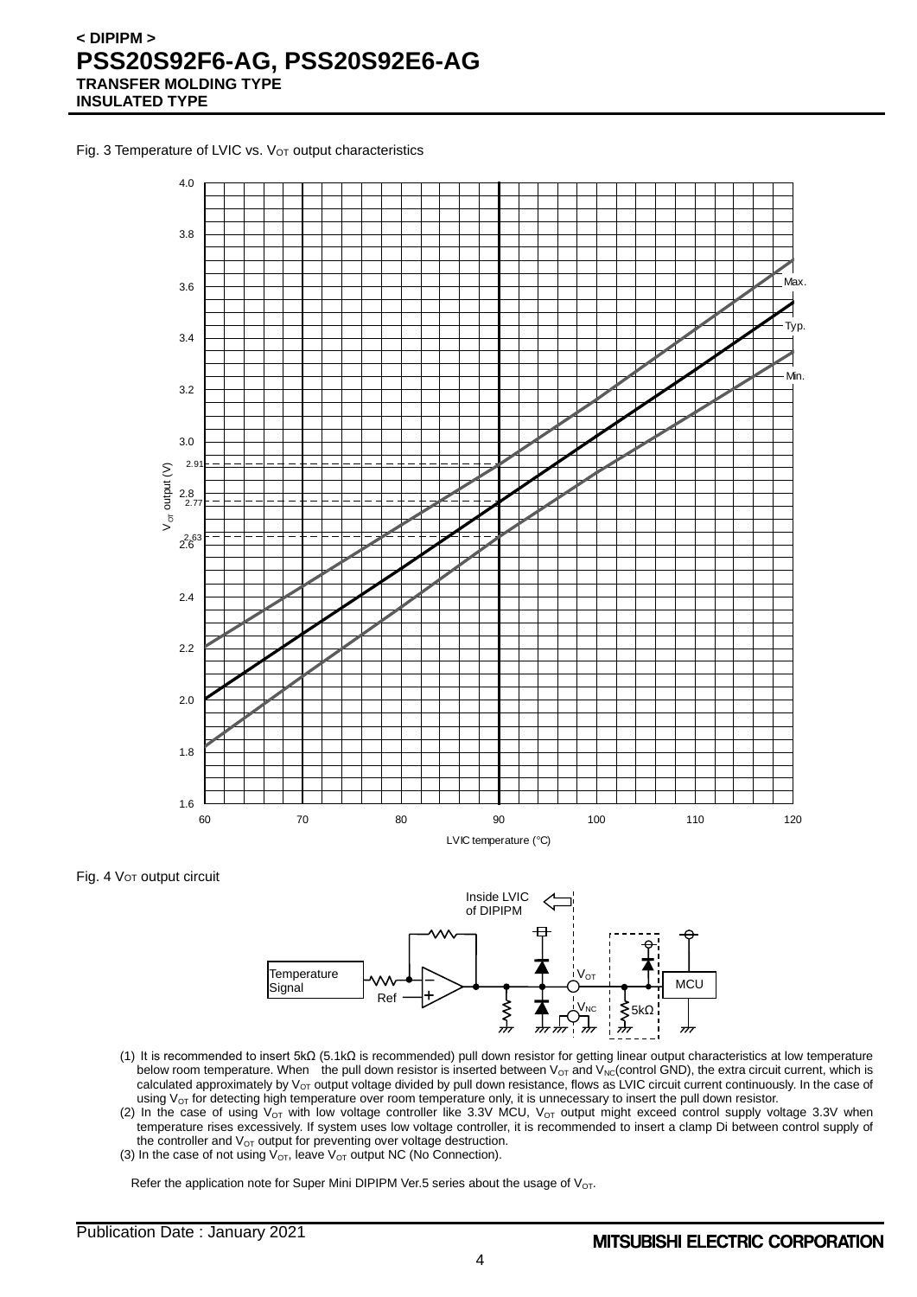Fig. 3 Temperature of LVIC vs. V<sub>OT</sub> output characteristics



Fig. 4 Vor output circuit



- (1) It is recommended to insert 5kΩ (5.1kΩ is recommended) pull down resistor for getting linear output characteristics at low temperature below room temperature. When the pull down resistor is inserted between V<sub>OT</sub> and V<sub>NC</sub>(control GND), the extra circuit current, which is calculated approximately by  $V_{OT}$  output voltage divided by pull down resistance, flows as LVIC circuit current continuously. In the case of using  $V_{OT}$  for detecting high temperature over room temperature only, it is unnecessary to insert the pull down resistor.
- (2) In the case of using  $V_{OT}$  with low voltage controller like 3.3V MCU,  $V_{OT}$  output might exceed control supply voltage 3.3V when temperature rises excessively. If system uses low voltage controller, it is recommended to insert a clamp Di between control supply of the controller and  $V_{OT}$  output for preventing over voltage destruction.
- (3) In the case of not using  $V_{\text{OT}}$ , leave  $V_{\text{OT}}$  output NC (No Connection).

Refer the application note for Super Mini DIPIPM Ver.5 series about the usage of  $V_{OT}$ .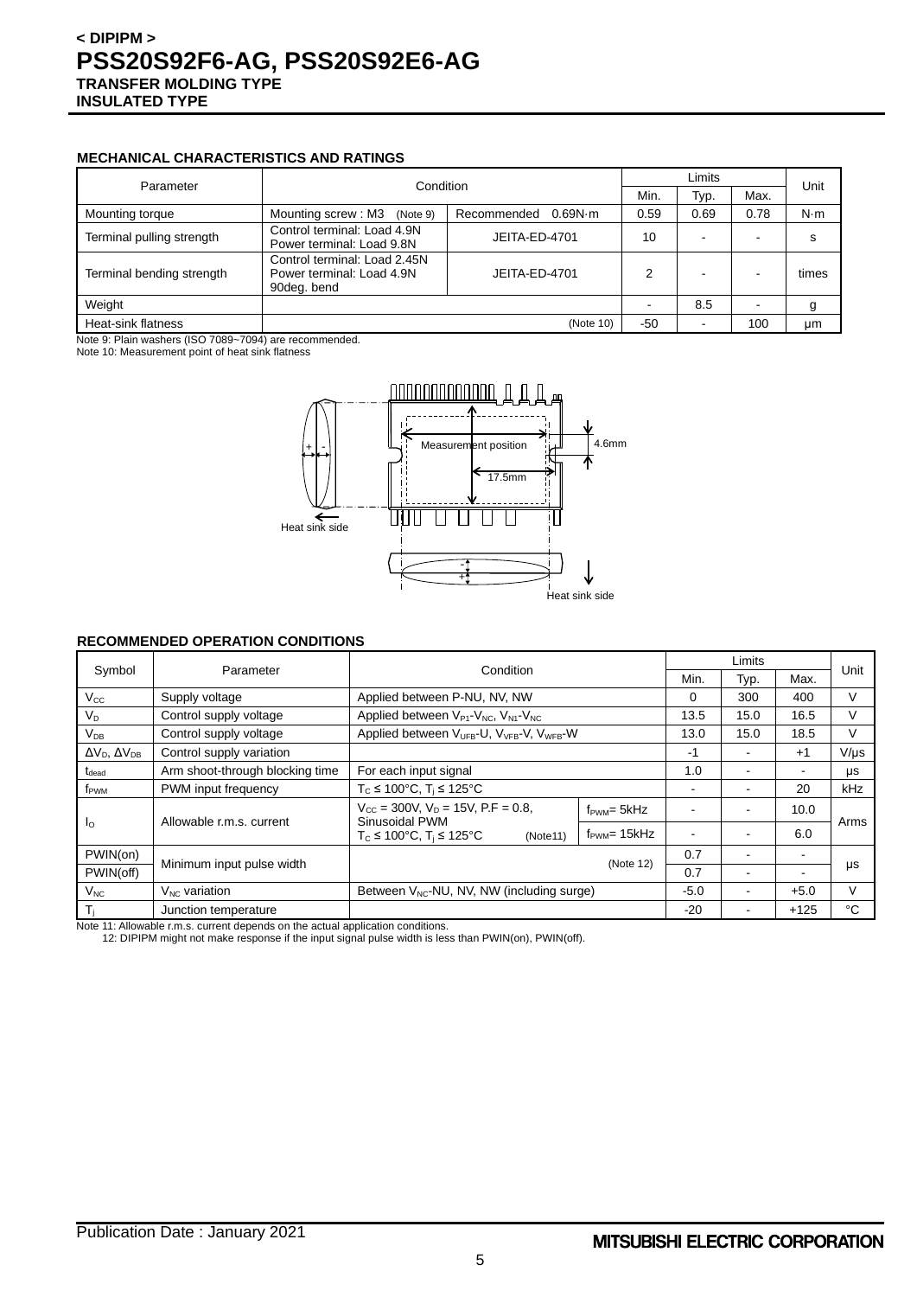#### **MECHANICAL CHARACTERISTICS AND RATINGS**

| Parameter                 |                                                                                           |                        |      |                          | Limits |             |  |
|---------------------------|-------------------------------------------------------------------------------------------|------------------------|------|--------------------------|--------|-------------|--|
| Condition                 |                                                                                           | Min.                   | Typ. | Max.                     | Unit   |             |  |
| Mounting torque           | Mounting screw: M3<br>(Note 9)                                                            | 0.69N·m<br>Recommended | 0.59 | 0.69                     | 0.78   | $N \cdot m$ |  |
| Terminal pulling strength | Control terminal: Load 4.9N<br>Power terminal: Load 9.8N                                  | JEITA-ED-4701          | 10   | $\overline{\phantom{0}}$ |        | s           |  |
| Terminal bending strength | Control terminal: Load 2.45N<br>Power terminal: Load 4.9N<br>JEITA-ED-4701<br>90deg. bend |                        | 2    | $\overline{\phantom{0}}$ |        | times       |  |
| Weight                    |                                                                                           |                        |      | 8.5                      |        | g           |  |
| Heat-sink flatness        |                                                                                           | $-50$                  |      | 100                      | μm     |             |  |

Note 9: Plain washers (ISO 7089~7094) are recommended.

Note 10: Measurement point of heat sink flatness



#### **RECOMMENDED OPERATION CONDITIONS**

|                                | Condition<br>Parameter          |                                                                               |                          | Limits |      | Unit   |           |
|--------------------------------|---------------------------------|-------------------------------------------------------------------------------|--------------------------|--------|------|--------|-----------|
| Symbol                         |                                 |                                                                               |                          | Min.   | Typ. | Max.   |           |
| $V_{\rm CC}$                   | Supply voltage                  | Applied between P-NU, NV, NW                                                  |                          | 0      | 300  | 400    | V         |
| $V_D$                          | Control supply voltage          | Applied between $V_{P1}$ - $V_{NC}$ , $V_{N1}$ - $V_{NC}$                     |                          | 13.5   | 15.0 | 16.5   | V         |
| $V_{DB}$                       | Control supply voltage          | Applied between V <sub>UFB</sub> -U, V <sub>VFB</sub> -V, V <sub>WFB</sub> -W |                          | 13.0   | 15.0 | 18.5   | v         |
| $\Delta V_D$ , $\Delta V_{DB}$ | Control supply variation        |                                                                               |                          | -1     |      | $+1$   | $V/\mu s$ |
| $t_{\text{dead}}$              | Arm shoot-through blocking time | For each input signal                                                         |                          | 1.0    |      |        | μs        |
| f <sub>PWM</sub>               | PWM input frequency             | $T_c \le 100^{\circ}$ C, $T_i \le 125^{\circ}$ C                              |                          | ۰      |      | 20     | kHz       |
| $\mathsf{I}_\Omega$            | Allowable r.m.s. current        | $V_{CC}$ = 300V, $V_D$ = 15V, P.F = 0.8,<br>Sinusoidal PWM                    | $f_{\text{PWM}} = 5kHz$  |        |      | 10.0   | Arms      |
|                                |                                 | $T_c \le 100^{\circ}$ C, $T_i \le 125^{\circ}$ C<br>(Note11)                  | $f_{\text{PWM}}$ = 15kHz |        |      | 6.0    |           |
| PWIN(on)                       |                                 | (Note 12)                                                                     |                          | 0.7    |      |        |           |
| PWIN(off)                      | Minimum input pulse width       |                                                                               |                          | 0.7    |      |        | μs        |
| $V_{NC}$                       | $V_{NC}$ variation              | Between V <sub>NC</sub> -NU, NV, NW (including surge)                         |                          | $-5.0$ |      | $+5.0$ | v         |
| $T_i$                          | Junction temperature            |                                                                               |                          | $-20$  |      | $+125$ | °C        |

Note 11: Allowable r.m.s. current depends on the actual application conditions.

12: DIPIPM might not make response if the input signal pulse width is less than PWIN(on), PWIN(off).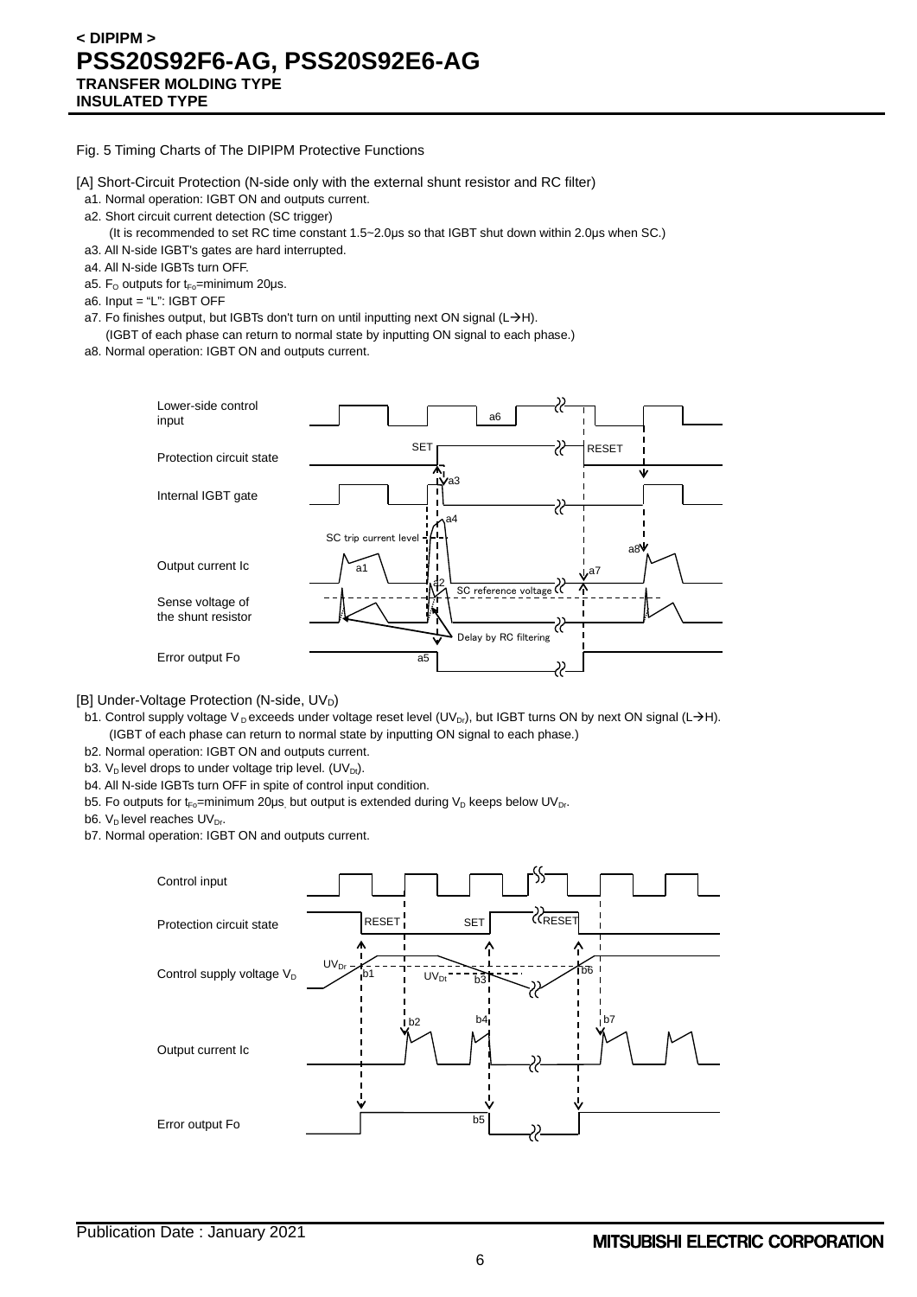Fig. 5 Timing Charts of The DIPIPM Protective Functions

[A] Short-Circuit Protection (N-side only with the external shunt resistor and RC filter)

- a1. Normal operation: IGBT ON and outputs current.
- a2. Short circuit current detection (SC trigger)
	- (It is recommended to set RC time constant 1.5~2.0μs so that IGBT shut down within 2.0μs when SC.)
- a3. All N-side IGBT's gates are hard interrupted.
- a4. All N-side IGBTs turn OFF.
- a5. F<sub>o</sub> outputs for  $t_{Fo}$ =minimum 20 $\mu$ s.
- a6. Input = "L": IGBT OFF
- a7. Fo finishes output, but IGBTs don't turn on until inputting next ON signal (L $\rightarrow$ H).
- (IGBT of each phase can return to normal state by inputting ON signal to each phase.) a8. Normal operation: IGBT ON and outputs current.



[B] Under-Voltage Protection (N-side, UVD)

- b1. Control supply voltage V<sub>D</sub> exceeds under voltage reset level (UV<sub>Dr</sub>), but IGBT turns ON by next ON signal (L->H). (IGBT of each phase can return to normal state by inputting ON signal to each phase.)
- b2. Normal operation: IGBT ON and outputs current.
- b3. V<sub>D</sub> level drops to under voltage trip level. (UV<sub>Dt</sub>).
- b4. All N-side IGBTs turn OFF in spite of control input condition.
- b5. Fo outputs for t<sub>Fo</sub>=minimum 20µs, but output is extended during V<sub>D</sub> keeps below UV<sub>Dr</sub>.
- b6.  $V_D$  level reaches  $UV_{Dr}$ .
- b7. Normal operation: IGBT ON and outputs current.

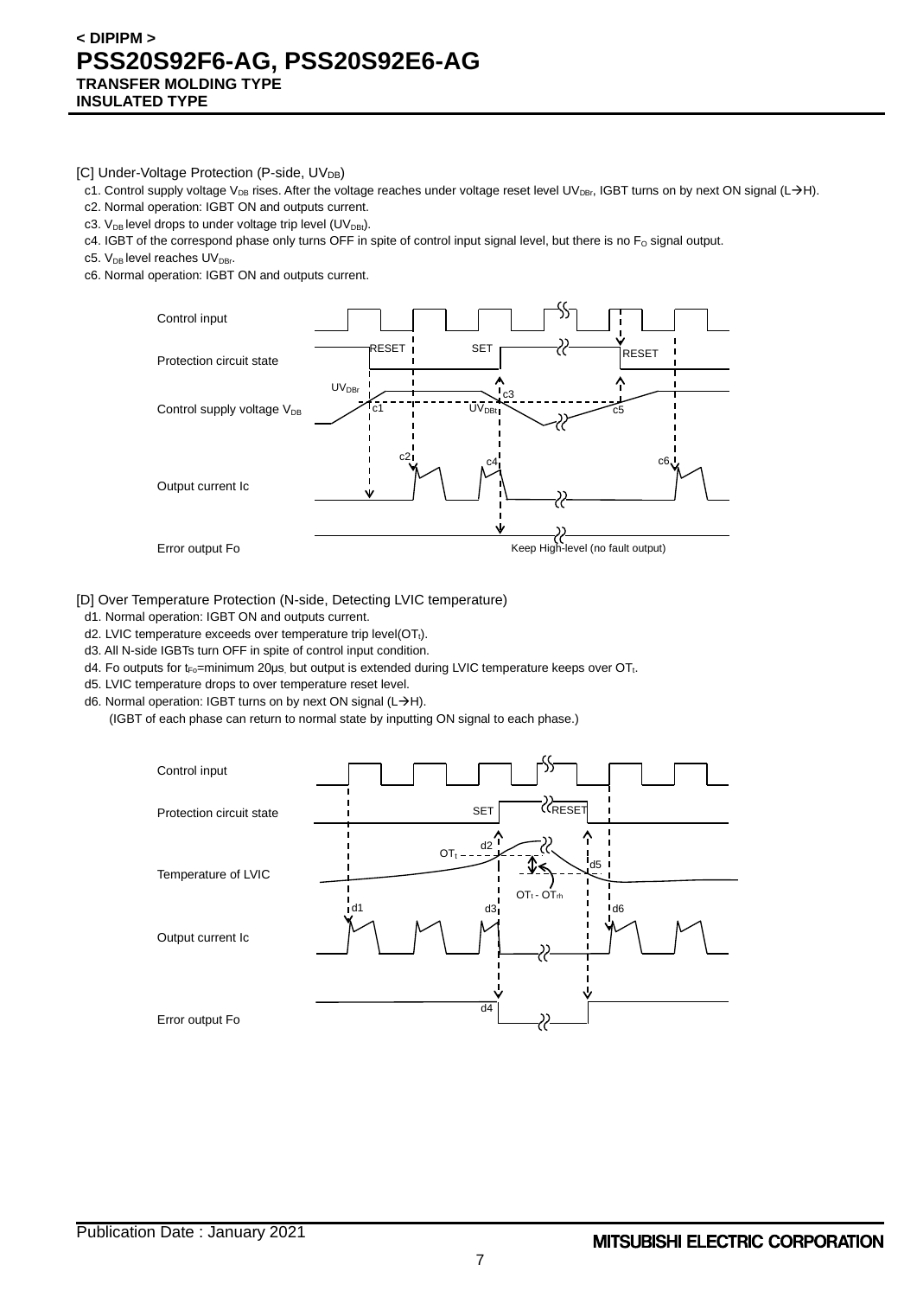[C] Under-Voltage Protection (P-side, UV<sub>DB</sub>)

- c1. Control supply voltage V<sub>DB</sub> rises. After the voltage reaches under voltage reset level UV<sub>DBr</sub>, IGBT turns on by next ON signal (L->H).
- c2. Normal operation: IGBT ON and outputs current.
- c3.  $V_{DB}$  level drops to under voltage trip level (UV<sub>DBt</sub>).
- c4. IGBT of the correspond phase only turns OFF in spite of control input signal level, but there is no  $F_0$  signal output.
- c5. V<sub>DB</sub> level reaches UV<sub>DBr</sub>.
- c6. Normal operation: IGBT ON and outputs current.



[D] Over Temperature Protection (N-side, Detecting LVIC temperature)

- d1. Normal operation: IGBT ON and outputs current.
- d2. LVIC temperature exceeds over temperature trip level(OT<sub>t</sub>).
- d3. All N-side IGBTs turn OFF in spite of control input condition.
- d4. Fo outputs for t<sub>Fo</sub>=minimum 20μs, but output is extended during LVIC temperature keeps over OT<sub>t</sub>.
- d5. LVIC temperature drops to over temperature reset level.
- d6. Normal operation: IGBT turns on by next ON signal ( $L\rightarrow H$ ).
	- (IGBT of each phase can return to normal state by inputting ON signal to each phase.)

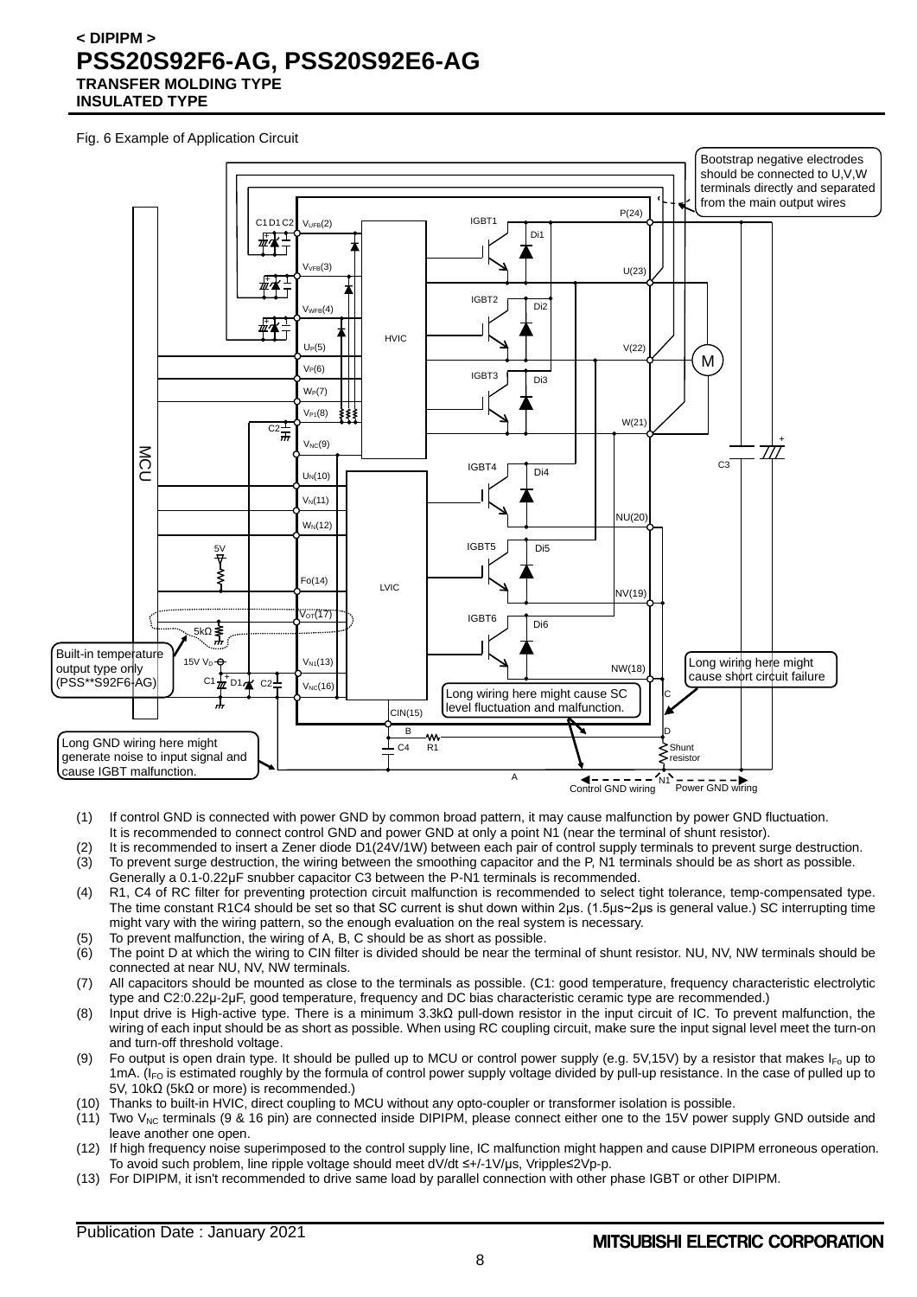Fig. 6 Example of Application Circuit



- (1) If control GND is connected with power GND by common broad pattern, it may cause malfunction by power GND fluctuation. It is recommended to connect control GND and power GND at only a point N1 (near the terminal of shunt resistor).
- (2) It is recommended to insert a Zener diode D1(24V/1W) between each pair of control supply terminals to prevent surge destruction. (3) To prevent surge destruction, the wiring between the smoothing capacitor and the P, N1 terminals should be as short as possible. Generally a 0.1-0.22μF snubber capacitor C3 between the P-N1 terminals is recommended.
- (4) R1, C4 of RC filter for preventing protection circuit malfunction is recommended to select tight tolerance, temp-compensated type. The time constant R1C4 should be set so that SC current is shut down within 2μs. (1.5μs~2μs is general value.) SC interrupting time might vary with the wiring pattern, so the enough evaluation on the real system is necessary.
- (5) To prevent malfunction, the wiring of A, B, C should be as short as possible.
- (6) The point D at which the wiring to CIN filter is divided should be near the terminal of shunt resistor. NU, NV, NW terminals should be connected at near NU, NV, NW terminals.
- (7) All capacitors should be mounted as close to the terminals as possible. (C1: good temperature, frequency characteristic electrolytic type and C2:0.22μ-2μF, good temperature, frequency and DC bias characteristic ceramic type are recommended.)
- (8) Input drive is High-active type. There is a minimum 3.3kΩ pull-down resistor in the input circuit of IC. To prevent malfunction, the wiring of each input should be as short as possible. When using RC coupling circuit, make sure the input signal level meet the turn-on and turn-off threshold voltage.
- (9) Fo output is open drain type. It should be pulled up to MCU or control power supply (e.g. 5V,15V) by a resistor that makes  $I_{F_0}$  up to 1mA. (I<sub>FO</sub> is estimated roughly by the formula of control power supply voltage divided by pull-up resistance. In the case of pulled up to 5V, 10kΩ (5kΩ or more) is recommended.)
- (10) Thanks to built-in HVIC, direct coupling to MCU without any opto-coupler or transformer isolation is possible.
- $(11)$  Two V<sub>NC</sub> terminals (9 & 16 pin) are connected inside DIPIPM, please connect either one to the 15V power supply GND outside and leave another one open.
- (12) If high frequency noise superimposed to the control supply line, IC malfunction might happen and cause DIPIPM erroneous operation. To avoid such problem, line ripple voltage should meet dV/dt ≤+/-1V/μs, Vripple≤2Vp-p.
- (13) For DIPIPM, it isn't recommended to drive same load by parallel connection with other phase IGBT or other DIPIPM.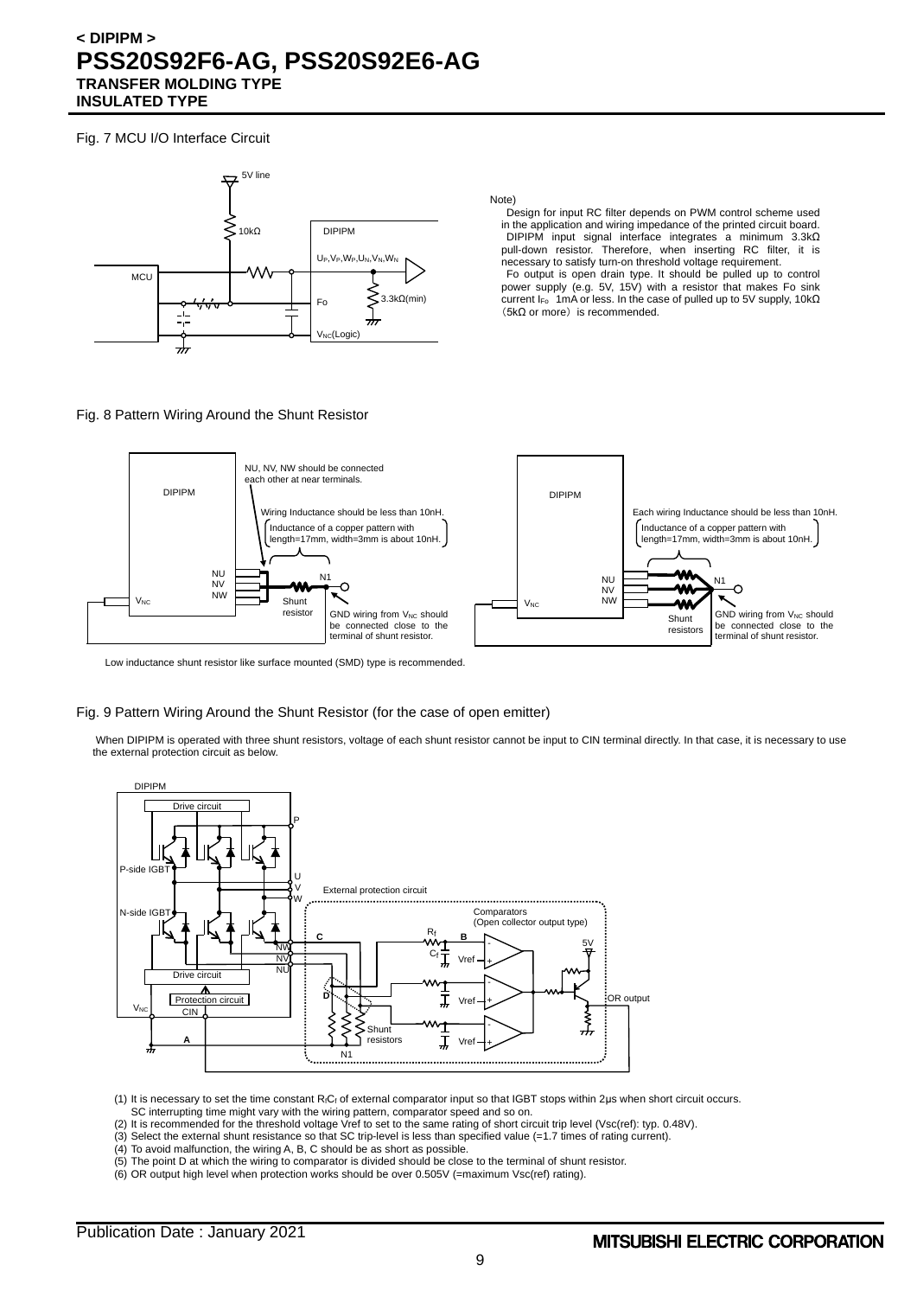Fig. 7 MCU I/O Interface Circuit



Note)

Design for input RC filter depends on PWM control scheme used in the application and wiring impedance of the printed circuit board. DIPIPM input signal interface integrates a minimum 3.3kΩ pull-down resistor. Therefore, when inserting RC filter, it is necessary to satisfy turn-on threshold voltage requirement.

Fo output is open drain type. It should be pulled up to control power supply (e.g. 5V, 15V) with a resistor that makes Fo sink current I<sub>Fo</sub> 1mA or less. In the case of pulled up to 5V supply, 10kΩ (5kΩ or more) is recommended.

#### Fig. 8 Pattern Wiring Around the Shunt Resistor



Low inductance shunt resistor like surface mounted (SMD) type is recommended.

#### Fig. 9 Pattern Wiring Around the Shunt Resistor (for the case of open emitter)

When DIPIPM is operated with three shunt resistors, voltage of each shunt resistor cannot be input to CIN terminal directly. In that case, it is necessary to use the external protection circuit as below.



(1) It is necessary to set the time constant RfCf of external comparator input so that IGBT stops within 2μs when short circuit occurs. SC interrupting time might vary with the wiring pattern, comparator speed and so on.

(2) It is recommended for the threshold voltage Vref to set to the same rating of short circuit trip level (Vsc(ref): typ. 0.48V).

(3) Select the external shunt resistance so that SC trip-level is less than specified value (=1.7 times of rating current).

- (4) To avoid malfunction, the wiring A, B, C should be as short as possible.
- (5) The point D at which the wiring to comparator is divided should be close to the terminal of shunt resistor.
- (6) OR output high level when protection works should be over 0.505V (=maximum Vsc(ref) rating).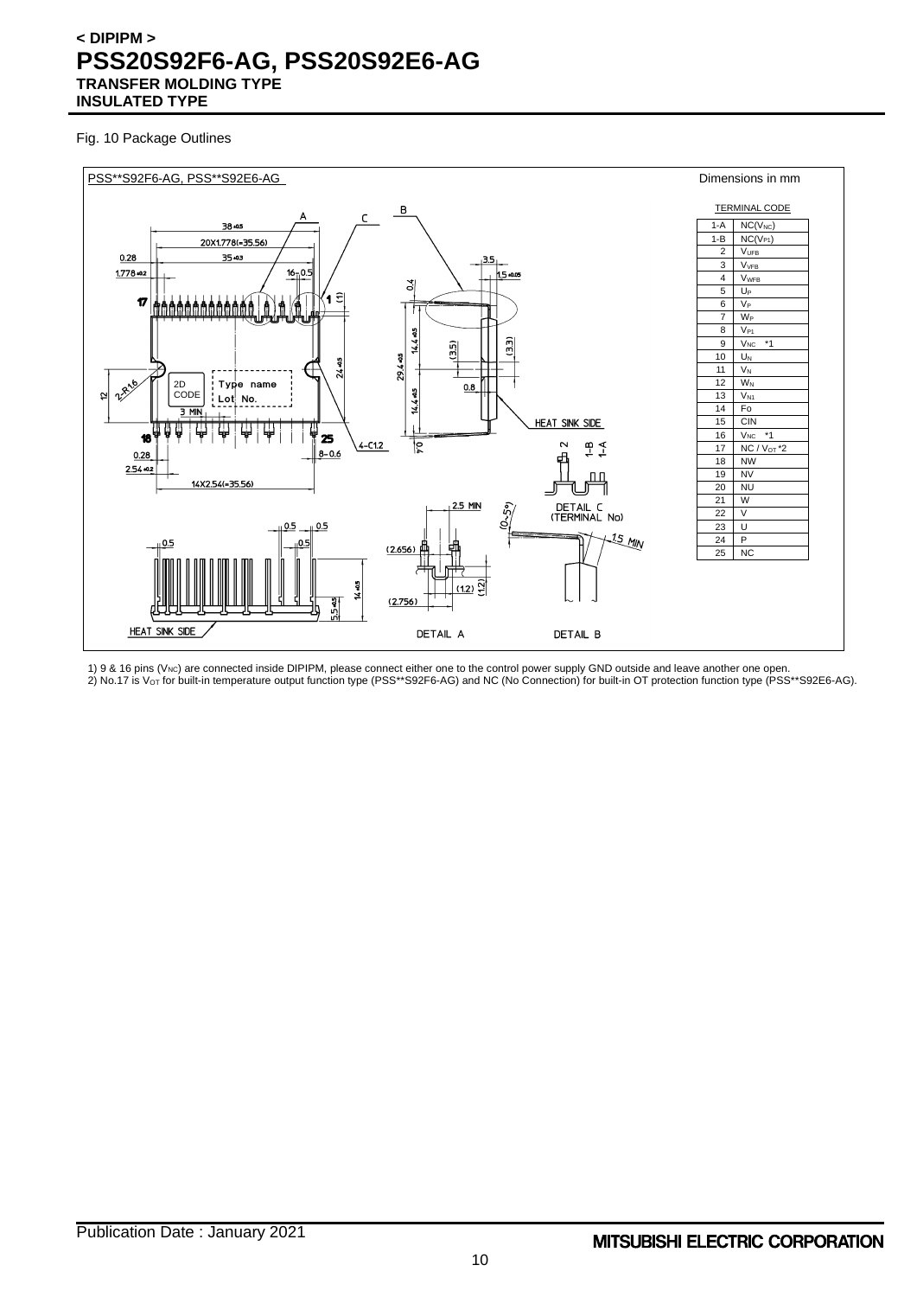Fig. 10 Package Outlines



1) 9 & 16 pins (V<sub>NC</sub>) are connected inside DIPIPM, please connect either one to the control power supply GND outside and leave another one open. 2) No.17 is V $\rm{_{\rm O}}$ r for built-in temperature output function type (PSS\*\*S92F6-AG) and NC (No Connection) for built-in OT protection function type (PSS\*\*S92E6-AG).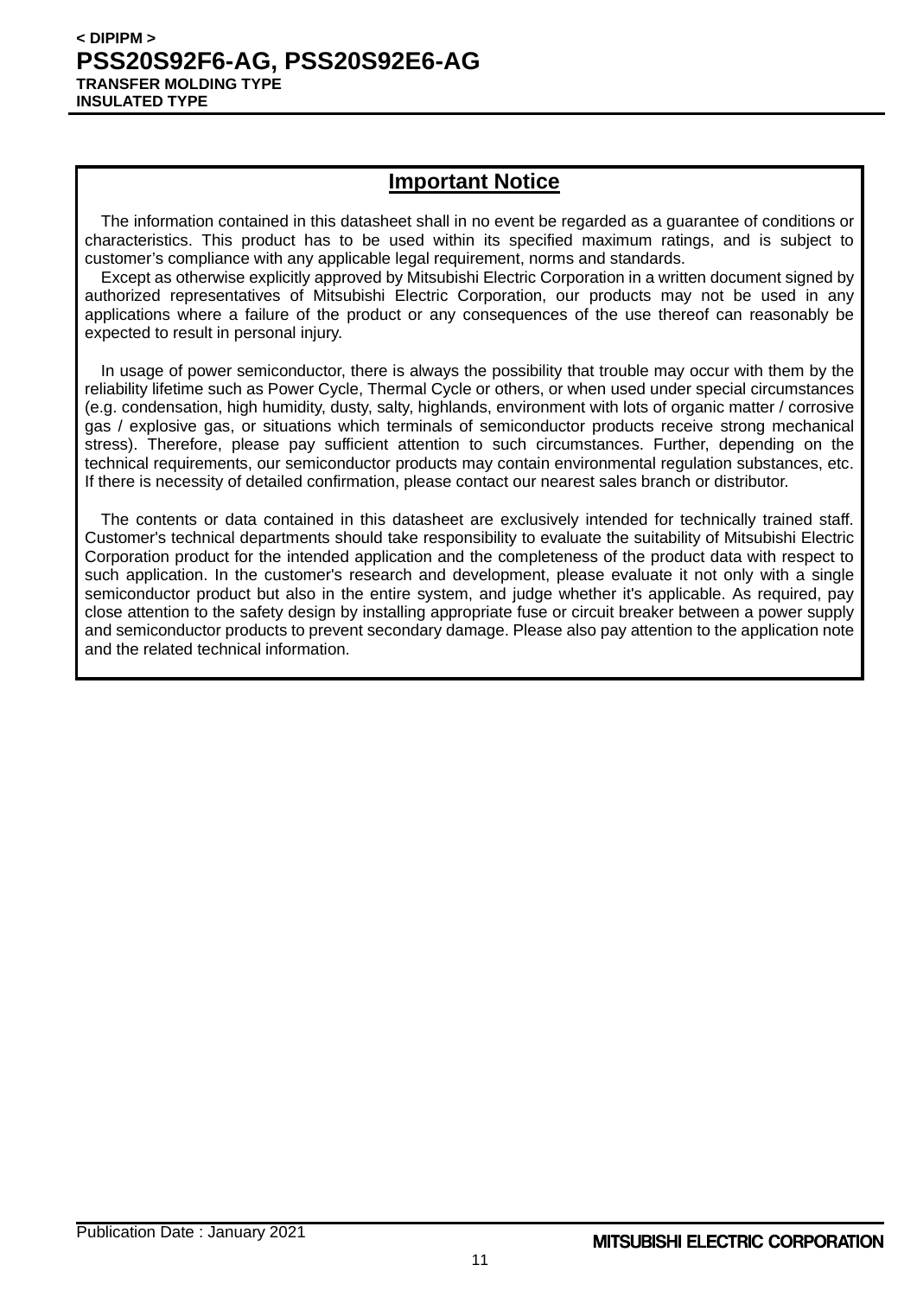## **Important Notice**

The information contained in this datasheet shall in no event be regarded as a guarantee of conditions or characteristics. This product has to be used within its specified maximum ratings, and is subject to customer's compliance with any applicable legal requirement, norms and standards.

Except as otherwise explicitly approved by Mitsubishi Electric Corporation in a written document signed by authorized representatives of Mitsubishi Electric Corporation, our products may not be used in any applications where a failure of the product or any consequences of the use thereof can reasonably be expected to result in personal injury.

In usage of power semiconductor, there is always the possibility that trouble may occur with them by the reliability lifetime such as Power Cycle, Thermal Cycle or others, or when used under special circumstances (e.g. condensation, high humidity, dusty, salty, highlands, environment with lots of organic matter / corrosive gas / explosive gas, or situations which terminals of semiconductor products receive strong mechanical stress). Therefore, please pay sufficient attention to such circumstances. Further, depending on the technical requirements, our semiconductor products may contain environmental regulation substances, etc. If there is necessity of detailed confirmation, please contact our nearest sales branch or distributor.

The contents or data contained in this datasheet are exclusively intended for technically trained staff. Customer's technical departments should take responsibility to evaluate the suitability of Mitsubishi Electric Corporation product for the intended application and the completeness of the product data with respect to such application. In the customer's research and development, please evaluate it not only with a single semiconductor product but also in the entire system, and judge whether it's applicable. As required, pay close attention to the safety design by installing appropriate fuse or circuit breaker between a power supply and semiconductor products to prevent secondary damage. Please also pay attention to the application note and the related technical information.